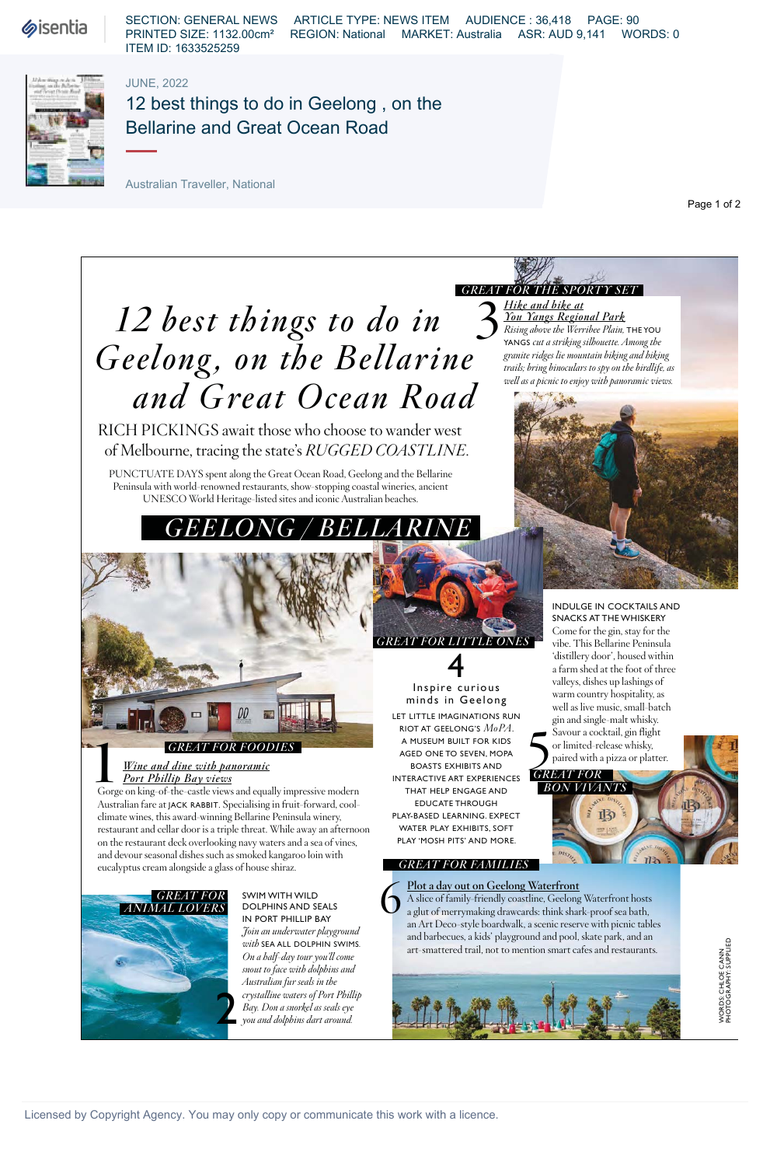**Sisentia** 

SECTION: GENERAL NEWS ARTICLE TYPE: NEWS ITEM AUDIENCE : 36,418 PAGE: 90 PRINTED SIZE: 1132.00cm² REGION: National MARKET: Australia ASR: AUD 9,141 WORDS: 0 ITEM ID: 1633525259

## JUNE, 2022



# 12 best things to do in Geelong , on the Bellarine and Great Ocean Road

Australian Traveller, National

Page 1 of 2

# 3 **12** *best things to do in*  Geelong, on the Bellarine  *and Great Ocean Road*

RICH PICKINGS await those who choose to wander west of Melbourne, tracing the state's *RUGGED COASTLINE*.

PUNCTUATE DAYS spent along the Great Ocean Road, Geelong and the Bellarine Peninsula with world-renowned restaurants, show-stopping coastal wineries, ancient UNESCO World Heritage-listed sites and iconic Australian beaches.



# *GREAT FOR FOODIES*

#### *Wine and dine with panoramic Port Phillip Bay views*

GREAT FOR FOODIES<br>
<u>Wine and dine with panoramic</u><br>
<u>Port Phillip Bay views</u><br>
Gorge on king-of-the-castle views and equally impressive modern Australian fare at JACK RABBIT. Specialising in fruit-forward, coolclimate wines, this award-winning Bellarine Peninsula winery, restaurant and cellar door is a triple threat. While away an afternoon on the restaurant deck overlooking navy waters and a sea of vines, and devour seasonal dishes such as smoked kangaroo loin with eucalyptus cream alongside a glass of house shiraz.



SWIM WITH WILD DOLPHINS AND SEALS IN PORT PHILLIP BAY *Join an underwater playground with* SEA ALL DOLPHIN SWIMS*. On a half-day tour you'll come snout to face with dolphins and Australian fur seals in the crystalline waters of Port Phillip Bay. Don a snorkel as seals eye you and dolphins dart around.*

*Hike and bike at You Yangs Regional Park Rising above the Werribee Plain,* THE YOU YANGS *cut a striking silhouette. Among the granite ridges lie mountain biking and hiking trails; bring binoculars to spy on the birdlife, as well as a picnic to enjoy with panoramic views. GREAT FOR THE SPORTY SET* 



INDULGE IN COCKTAILS AND SNACKS AT THE WHISKERY Come for the gin, stay for the vibe. This Bellarine Peninsula 'distillery door', housed within a farm shed at the foot of three valleys, dishes up lashings of warm country hospitality, as well as live music, small-batch gin and single-malt whisky. Savour a cocktail, gin flight or limited-release whisky,<br>paired with a pizza or platter



*GREAT FOR*  **BON VIVAN** 15

**Plot a day out on Geelong Waterfront** A slice of family-friendly coastline, Geelong Waterfront hosts a glut of merrymaking drawcards: think shark-proof sea bath, an Art Deco-style boardwalk, a scenic reserve with picnic tables and barbecues, a kids' playground and pool, skate park, and an art-smattered trail, not to mention smart cafes and restaurants. 6

RIOT AT GEELONG'S *MoPA*. A MUSEUM BUILT FOR KIDS AGED ONE TO SEVEN, MOPA BOASTS EXHIBITS AND INTERACTIVE ART EXPERIENCES THAT HELP ENGAGE AND EDUCATE THROUGH PLAY-BASED LEARNING. EXPECT WATER PLAY EXHIBITS, SOFT PLAY 'MOSH PITS' AND MORE.

 *GREAT FOR FAMILIES* 

WORDS: CHLOE CANN<br>PHOTOGRAPHY: SUPPLIED PHOTOGRAPHY: SUPPLIED WORDS: CHLOE CANN